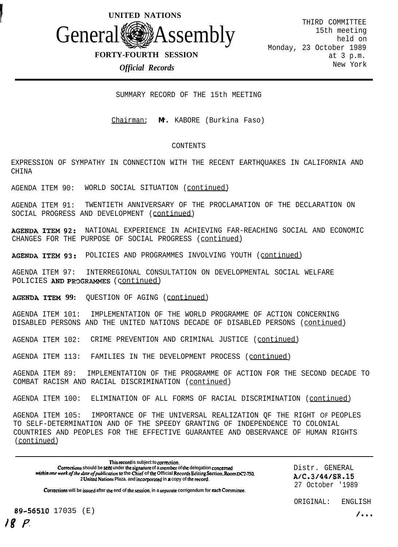

### **FORTY-FOURTH SESSION**

### *Official Records*

THIRD COMMITTEE 15th meeting held on Monday, 23 October 1989 at 3 p.m. New York

SUMMARY RECORD OF THE 15th MEETING

Chairman: **Mr.** KABORE (Burkina Faso)

#### CONTENTS

EXPRESSION OF SYMPATHY IN CONNECTION WITH THE RECENT EARTHQUAKES IN CALIFORNIA AND CHINA

AGENDA ITEM 90: WORLD SOCIAL SITUATION (continued)

AGENDA ITEM 91: TWENTIETH ANNIVERSARY OF THE PROCLAMATION OF THE DECLARATION ON SOCIAL PROGRESS AND DEVELOPMENT (continued)

**AGENDA ITEM 92:** NATIONAL EXPERIENCE IN ACHIEVING FAR-REACHING SOCIAL AND ECONOMIC CHANGES FOR THE PURPOSE OF SOCIAL PROGRESS (continued)

**AGENDA ITEM 93:** POLICIES AND PROGRAMMES INVOLVING YOUTH (continued)

AGENDA ITEM 97: INTERREGIONAL CONSULTATION ON DEVELOPMENTAL SOCIAL WELFARE POLICIES AND PROGRAMMES (continued)

**AGENDA ITEM 99:** QUESTION OF AGING (continued)

AGENDA ITEM 101: IMPLEMENTATION OF THE WORLD PROGRAMME OF ACTION CONCERNING DISABLED PERSONS AND THE UNITED NATIONS DECADE OF DISABLED PERSONS (continued)

AGENDA ITEM 102: CRIME PREVENTION AND CRIMINAL JUSTICE (continued)

AGENDA ITEM 113: FAMILIES IN THE DEVELOPMENT PROCESS (continued)

AGENDA ITEM 89: IMPLEMENTATION OF THE PROGRAMME OF ACTION FOR THE SECOND DECADE TO COMBAT RACISM AND RACIAL DISCRIMINATION (continued)

AGENDA ITEM 100: ELIMINATION OF ALL FORMS OF RACIAL DISCRIMINATION (continued)

AGENDA ITEM 105: IMPORTANCE OF THE UNIVERSAL REALIZATION QF THE RIGHT OF PEOPLES TO SELF-DETERMINATION AND OF THE SPEEDY GRANTING OF INDEPENDENCE TO COLONIAL COUNTRIES AND PEOPLES FOR THE EFFECTIVE GUARANTEE AND OBSERVANCE OF HUMAN RIGHTS (continued)

**This record is subject to corrccrion.** Corrections should be sent under the signature of a member of the delegation concerned *within one week of the date of publication* to the Chief of the Official Records Editing Section, Room DC2-750, **2 Unikd Nafiona Plaza. and incorgonted in a copy of the record.**

Distr. GENERAL AiC.3/44/SR.15 27 October '1989

**Corrcaioru will be isutd after the end of the session. in a scpamlc corrigendum for each Commirrcc.**

89-56510 17035 (E)  $\sqrt{...}$ <sup>48</sup> P

ORIGINAL: ENGLISH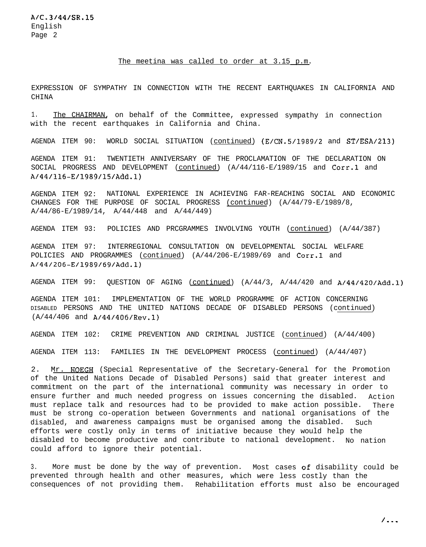#### The meetina was called to order at 3.15 p.m.

EXPRESSION OF SYMPATHY IN CONNECTION WITH THE RECENT EARTHQUAKES IN CALIFORNIA AND **CHINA** 

1. The CHAIRMAN, on behalf of the Committee, expressed sympathy in connection with the recent earthquakes in California and China.

AGENDA ITEM 90: WORLD SOCIAL SITUATION (continued) (E/CN.5/1989/2 and ST/ESA/213)

AGENDA ITEM 91: TWENTIETH ANNIVERSARY OF THE PROCLAMATION OF THE DECLARATION ON SOCIAL PROGRESS AND DEVELOPMENT (continued) (A/44/116-E/1989/15 and Corr.1 and A/44/116-E/1989/15/Add.l)

AGENDA ITEM 92: NATIONAL EXPERIENCE IN ACHIEVING FAR-REACHING SOCIAL AND ECONOMIC CHANGES FOR THE PURPOSE OF SOCIAL PROGRESS (continued) (A/44/79-E/1989/8, A/44/86-E/1989/14, A/44/448 and A/44/449)

AGENDA ITEM 93: POLICIES AND PRCGRAMMES INVOLVING YOUTH (continued) (A/44/387)

AGENDA ITEM 97: INTERREGIONAL CONSULTATION ON DEVELOPMENTAL SOCIAL WELFARE POLICIES AND PROGRAMMES (continued) (A/44/206-E/1989/69 and Corr.1 and A/44/206-E/1989/69/Add.l)

AGENDA ITEM 99: OUESTION OF AGING (continued)  $(A/44/3, A/44/420 \text{ and } A/44/420/\text{Add.1})$ 

AGENDA ITEM 101: IMPLEMENTATION OF THE WORLD PROGRAMME OF ACTION CONCERNING DISABLED PERSONS AND THE UNITED NATIONS DECADE OF DISABLED PERSONS (continued) (A/44/406 and A/44/406/Rev.l)

AGENDA ITEM 102: CRIME PREVENTION AND CRIMINAL JUSTICE (continued) (A/44/400)

AGENDA ITEM 113: FAMILIES IN THE DEVELOPMENT PROCESS (continued) (A/44/407)

2. Mr. HOEGH (Special Representative of the Secretary-General for the Promotion of the United Nations Decade of Disabled Persons) said that greater interest and commitment on the part of the international community was necessary in order to ensure further and much needed progress on issues concerning the disabled. Action must replace talk and resources had to be provided to make action possible. There must be strong co-operation between Governments and national organisations of the disabled, and awareness campaigns must be organised among the disabled. Such efforts were costly only in terms of initiative because they would help the disabled to become productive and contribute to national development. No nation could afford to ignore their potential.

3. More must be done by the way of prevention. Most cases of disability could be prevented through health and other measures, which were less costly than the consequences of not providing them. Rehabilitation efforts must also be encouraged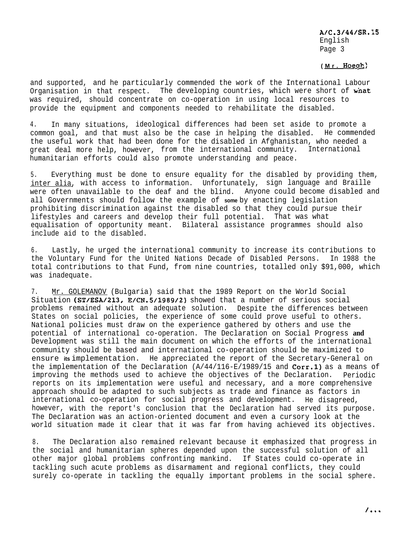(Mr. Hoegh)

and supported, and he particularly commended the work of the International Labour Organisation in that respect. The developing countries, which were short of what was required, should concentrate on co-operation in using local resources to provide the equipment and components needed to rehabilitate the disabled.

4. In many situations, ideological differences had been set aside to promote a common goal, and that must also be the case in helping the disabled. He commended the useful work that had been done for the disabled in Afghanistan, who needed a great deal more help, however, from the international community. International humanitarian efforts could also promote understanding and peace.

5. Everything must be done to ensure equality for the disabled by providing them, inter alia, with access to information. Unfortunately, sign language and Braille were often unavailable to the deaf and the blind. Anyone could become disabled and all Governments should follow the example of **some** by enacting legislation prohibiting discrimination against the disabled so that they could pursue their lifestyles and careers and develop their full potential. That was what equalisation of opportunity meant. Bilateral assistance programmes should also include aid to the disabled.

6. Lastly, he urged the international community to increase its contributions to the Voluntary Fund for the United Nations Decade of Disabled Persons. In 1988 the total contributions to that Fund, from nine countries, totalled only \$91,000, which was inadequate.

7. Mr. GOLEMANOV (Bulgaria) said that the 1989 Report on the World Social Situation (ST/ESA/213, E/CN.5/1989/2) showed that a number of serious social problems remained without an adequate solution. Despite the differences between States on social policies, the experience of some could prove useful to others. National policies must draw on the experience gathered by others and use the potential of international co-operation. The Declaration on Social Progress **and** Development was still the main document on which the efforts of the international community should be based and international co-operation should be maximized to ensure **its** implementation. He appreciated the report of the Secretary-General on the implementation of the Declaration  $(A/44/116-E/1989/15$  and Corr.1) as a means of improving the methods used to achieve the objectives of the Declaration. Periodic reports on its implementation were useful and necessary, and a more comprehensive approach should be adapted to such subjects as trade and finance as factors in international co-operation for social progress and development. He disagreed, however, with the report's conclusion that the Declaration had served its purpose. The Declaration was an action-oriented document and even a cursory look at the world situation made it clear that it was far from having achieved its objectives.

8. The Declaration also remained relevant because it emphasized that progress in the social and humanitarian spheres depended upon the successful solution of all other major global problems confronting mankind. If States could co-operate in tackling such acute problems as disarmament and regional conflicts, they could surely co-operate in tackling the equally important problems in the social sphere.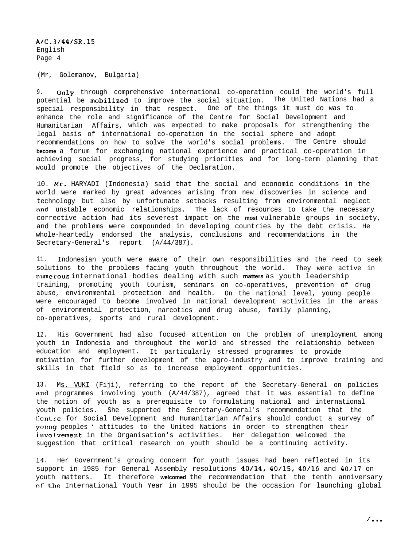A1C.31441SR.15 English Page 4

### (Mr, Golemanov, Bulgaria)

9. Only through comprehensive international co-operation could the world's full potential be mobilized to improve the social situation. The United Nations had a special responsibility in that respect. One of the things it must do was to enhance the role and significance of the Centre for Social Development and Humanitarian Affairs, which was expected to make proposals for strengthening the legal basis of international co-operation in the social sphere and adopt recommendations on how to solve the world's social problems. The Centre should **become** a forum for exchanging national experience and practical co-operation in achieving social progress, for studying priorities and for long-term planning that would promote the objectives of the Declaration.

10. Mr. HARYADI (Indonesia) said that the social and economic conditions in the world were marked by great advances arising from new discoveries in science and technology but also by unfortunate setbacks resulting from environmental neglect and unstable economic relationships. The lack of resources to take the necessary corrective action had its severest impact on the **most** vulnerable groups in society, and the problems were compounded in developing countries by the debt crisis. He whole-heartedly endorsed the analysis, conclusions and recommendations in the Secretary-General's report (A/44/387).

11. Indonesian youth were aware of their own responsibilities and the need to seek solutions to the problems facing youth throughout the world. They were active in **numerous** international bodies dealing with such **matters** as youth leadership training, promoting youth tourism, seminars on co-operatives, prevention of drug abuse, environmental protection and health. On the national level, young people were encouraged to become involved in national development activities in the areas of environmental protection, narcotics and drug abuse, family planning, co-operatives, sports and rural development.

12. His Government had also focused attention on the problem of unemployment among youth in Indonesia and throughout the world and stressed the relationship between education and employment. It particularly stressed programmes to provide motivation for further development of the agro-industry and to improve training and skills in that field so as to increase employment opportunities.

13. Ms. VUKI (Fiji), referring to the report of the Secretary-General on policies and programmes involving youth (A/44/387), agreed that it was essential to define the notion of youth as a prerequisite to formulating national and international youth policies. She supported the Secretary-General's recommendation that the Centre for Social Development and Humanitarian Affairs should conduct a survey of young peoples ' attitudes to the United Nations in order to strengthen their involvement in the Organisation's activities. Her delegation welcomed the suggestion that critical research on youth should be a continuing activity.

14. Her Government's growing concern for youth issues had been reflected in its support in 1985 for General Assembly resolutions 40/14, 40/15, 40/16 and 40/17 on youth matters. It therefore **welcomed** the recommendation that the tenth anniversary of- the International Youth Year in 1995 should be the occasion for launching global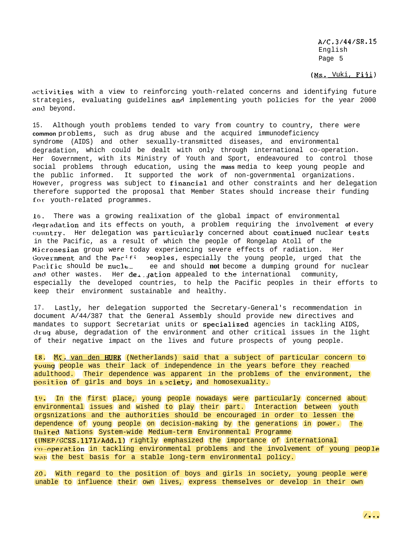(Ms. Vuki, Fiji)

activities with a view to reinforcing youth-related concerns and identifying future strategies, evaluating guidelines and implementing youth policies for the year 2000 and beyond.

15. Although youth problems tended to vary from country to country, there were **common** problems, such as drug abuse and the acquired immunodeficiency syndrome (AIDS) and other sexually-transmitted diseases, and environmental degradation, which could be dealt with only through international co-operation. Her Government, with its Ministry of Youth and Sport, endeavoured to control those social problems through education, using the **mass** media to keep young people and the public informed. It supported the work of non-governmental organizations. However, progress was subject to financial and other constraints and her delegation therefore supported the proposal that Member States should increase their funding for youth-related programmes.

**lb.** There was a growing realixation of the global impact of environmental rlegradation and its effects on youth, a problem requiring the involvement **of** every country. Her delegation was particularly concerned about continued nuclear tests in the Pacific, as a result of which the people of Rongelap Atoll of the Micronesian group were today experiencing severe effects of radiation. Her Government and the Pac:fi peoples, especially the young people, urged that the Pacific should be nucle<sub>-</sub> ee and should **not** become a dumping ground for nuclear and other wastes. Her deligation appealed to the international community, especially the developed countries, to help the Pacific peoples in their efforts to keep their environment sustainable and healthy.

17. Lastly, her delegation supported the Secretary-General's recommendation in document A/44/387 that the General Assembly should provide new directives and mandates to support Secretariat units or specialized agencies in tackling AIDS, drug abuse, degradation of the environment and other critical issues in the light of their negative impact on the lives and future prospects of young people.

18. Mr. van den HURK (Netherlands) said that a subject of particular concern to young people was their lack of independence in the years before they reached adulthood. Their dependence was apparent in the problems of the environment, the position of girls and boys in society, and homosexuality.

19. In the first place, young people nowadays were particularly concerned about environmental issues and wished to play their part. Interaction between youth orgsnizations and the authorities should be encouraged in order to lessen the dependence of young people on decision-making by the generations in power. The llnited Nations System-wide Medium-term Environmental Programme (IJNEP/GCSS.1171/Add.l) rightly emphasized the importance of international co-operation in tackling environmental problems and the involvement of young people was the best basis for a stable long-term environmental policy.

**20.** With regard to the position of boys and girls in society, young people were unable to influence their own lives, express themselves or develop in their own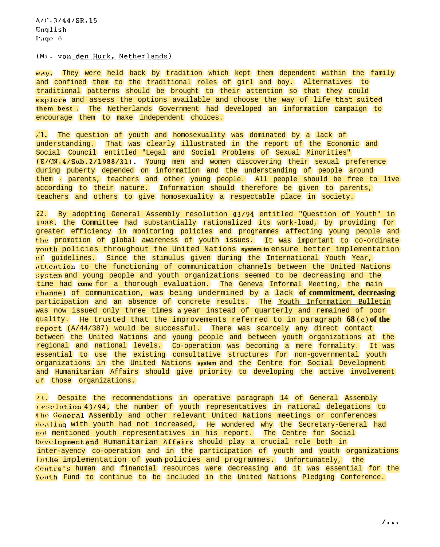(Mi. van den Hurk, Netherlands)

Way. They were held back by tradition which kept them dependent within the family and confined them to the traditional roles of girl and boy. Alternatives to traditional patterns should be brought to their attention so that they could explore and assess the options available and choose the way of life that suited **them best .** The Netherlands Government had developed an information campaign to encourage them to make independent choices.

,.**'1.** The question of youth and homosexuality was dominated by a lack of understanding. That was clearly illustrated in the report of the Economic and Social Council entitled "Legal and Social Problems of Sexual Minorities" (E/CN.4/Sub.2/1988/31). Young men and women discovering their sexual preference during puberty depended on information and the understanding of people around them - parents, teachers and other young people. All people should be free to live according to their nature. Information should therefore be given to parents, teachers and others to give homosexuality a respectable place in society.

22. By adopting General Assembly resolution 43194 entitled "Question of Youth" in 1988, the Committee had substantially rationalized its work-load, by providing for greater efficiency in monitoring policies and programmes affecting young people and Ithe promotion of global awareness of youth issues. It was important to co-ordinate youth policies throughout the United Nations *system to* ensure better implementation of guidelines. Since the stimulus given during the International Youth Year, .\t.t.ention to the functioning of communication channels between the United Nations **::y:;tem** and young people and youth organizations seemed to be decreasing and the time had **come** for a thorough evaluation. The Geneva Informal Meeting, the main channel of communication, was being undermined by a lack **of commitment, decreasing** participation and an absence of concrete results. The Youth Information Bulletin was now issued only three times **a** year instead of quarterly and remained of poor quality. He trusted that the improvements referred to in paragraph **68 (c) of the**  $\frac{1}{2}$  report (A/44/387) would be successful. There was scarcely any direct contact between the United Nations and young people and between youth organizations at the regional and national levels. Co-operation was becoming a mere formality. It was essential to use the existing consultative structures for non-governmental youth organizations in the United Nations **system** and the Centre for Social Development and Humanitarian Affairs should give priority to developing the active involvement of those organizations.

? t. Despite the recommendations in operative paragraph 14 of General Assembly I esolution 43/94, the number of youth representatives in national delegations to the General Assembly and other relevant United Nations meetings or conferences ~le,~ling with youth had not increased, He wondered why the Secretary-General had 1101 mentioned youth representatives in his report. The Centre for Social **Developmentand Humanitarian Affairs should play a crucial role both in** inter-ayency co-operation and in the participation of youth and youth organizations **in the implementation of youth policies and programmes. Unfortunately, the**  $Centre's$  human and financial resources were decreasing and it was essential for the Sottth Fund to continue to be included in the United Nations Pledging Conference.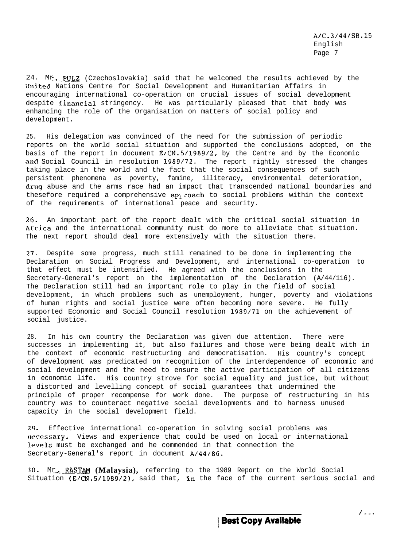$24.$  Mr. PULZ (Czechoslovakia) said that he welcomed the results achieved by the ilnited Nations Centre for Social Development and Humanitarian Affairs in encouraging international co-operation on crucial issues of social development despite financial stringency. He was particularly pleased that that body was enhancing the role of the Organisation on matters of social policy and development.

25. His delegation was convinced of the need for the submission of periodic reports on the world social situation and supported the conclusions adopted, on the basis of the report in document E/CN.5/1989/2, by the Centre and by the Economic and Social Council in resolution 1989/72. The report rightly stressed the changes taking place in the world and the fact that the social consequences of such persistent phenomena as poverty, famine, illiteracy, environmental deterioration, drug abuse and the arms race had an impact that transcended national boundaries and thesefore required a comprehensive approach to social problems within the context of the requirements of international peace and security.

2G. An important part of the report dealt with the critical social situation in Africa and the international community must do more to alleviate that situation. The next report should deal more extensively with the situation there.

27. Despite some progress, much still remained to be done in implementing the Declaration on Social Progress and Development, and international co-operation to that effect must be intensified. He agreed with the conclusions in the Secretary-General's report on the implementation of the Declaration (A/44/116). The Declaration still had an important role to play in the field of social development, in which problems such as unemployment, hunger, poverty and violations of human rights and social justice were often becoming more severe. He fully supported Economic and Social Council resolution 1989171 on the achievement of social justice.

28. In his own country the Declaration was given due attention. There were successes in implementing it, but also failures and those were being dealt with in the context of economic restructuring and democratisation. His country's concept of development was predicated on recognition of the interdependence of economic and social development and the need to ensure the active participation of all citizens in economic life. His country strove for social equality and justice, but without a distorted and levelling concept of social guarantees that undermined the principle of proper recompense for work done. The purpose of restructuring in his country was to counteract negative social developments and to harness unused capacity in the social development field.

29. Effective international co-operation in solving social problems was necessary. Views and experience that could be used on local or international **J.@VPJ.S** must be exchanged and he commended in that connection the Secretary-General's report in document A/44/8G.

30. Mr**\_..\_,-RASTAM (Malaysia),** referring to the 1989 Report on the World Social Situation (E/CN.5/1989/2), said that, in the face of the current serious social and

**\ Best Copy Available**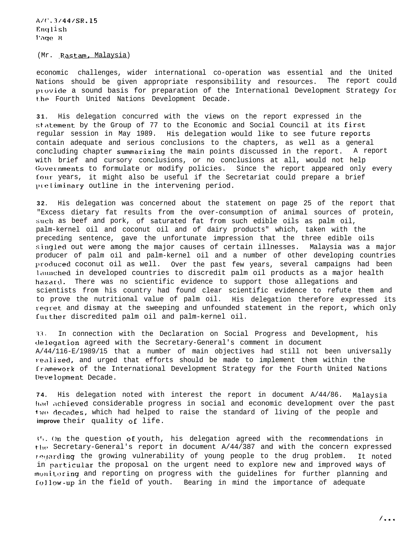(Mr. Rastam, Malaysia)

economic challenges, wider international co-operation was essential and the United Nations should be given appropriate responsibility and resources. The report could provide a sound basis for preparation of the International Development Strategy for the Fourth United Nations Development Decade.

**31.** His delegation concurred with the views on the report expressed in the statement by the Group of 77 to the Economic and Social Council at its first regular session in May 1989. His delegation would like to see future reports contain adequate and serious conclusions to the chapters, as well as a general concluding chapter summarizinq the main points discussed in the report. A report with brief and cursory conclusions, or no conclusions at all, would not help Governments to formulate or modify policies. Since the report appeared only every four years, it might also be useful if the Secretariat could prepare a brief preliminary outline in the intervening period.

**32.** His delegation was concerned about the statement on page 25 of the report that "Excess dietary fat results from the over-consumption of animal sources of protein, such as beef and pork, of saturated fat from such edible oils as palm oil, palm-kernel oil and coconut oil and of dairy products" which, taken with the preceding sentence, gave the unfortunate impression that the three edible oils sinqled out were among the major causes of certain illnesses. Malaysia was a major producer of palm oil and palm-kernel oil and a number of other developing countries produced coconut oil as well. Over the past few years, several campaigns had been launched in developed countries to discredit palm oil products as a major health hazard. There was no scientific evidence to support those allegations and scientists from his country had found clear scientific evidence to refute them and to prove the nutritional value of palm oil. His delegation therefore expressed its regret and dismay at the sweeping and unfounded statement in the report, which only further discredited palm oil and palm-kernel oil.

11. In connection with the Declaration on Social Progress and Development, his clelegation agreed with the Secretary-General's comment in document A/44/116-E/1989/15 that a number of main objectives had still not been universally realized, and urged that efforts should be made to implement them within the Cranework of the International Development Strategy for the Fourth United Nations Development Decade.

**74.** His delegation noted with interest the report in document A/44/86. Malaysia had achieved considerable progress in social and economic development over the past two decades, which had helped to raise the standard of living of the people and **improve** their quality of life.

<sup>I</sup>'?. On the question **oE** youth, his delegation agreed with the recommendations in the Secretary-General's report in document  $A/44/387$  and with the concern expressed regarding the growing vulnerability of young people to the drug problem. It noted in particular the proposal on the urgent need to explore new and improved ways of monitoring and reporting on progress with the guidelines for further planning and **Callow-up** in the field of youth. Bearing in mind the importance of adequate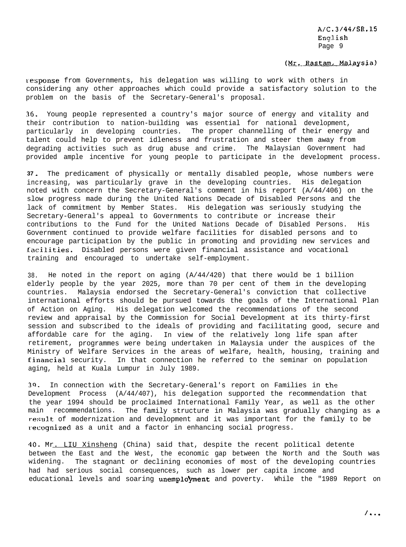#### (Mr. Rastam, Malaysia)

response from Governments, his delegation was willing to work with others in considering any other approaches which could provide a satisfactory solution to the problem on the basis of the Secretary-General's proposal.

3G. Young people represented a country's major source of energy and vitality and their contribution to nation-building was essential for national development, particularly in developing countries. The proper channelling of their energy and talent could help to prevent idleness and frustration and steer them away from degrading activities such as drug abuse and crime. The Malaysian Government had provided ample incentive for young people to participate in the development process.

**37** - The predicament of physically or mentally disabled people, whose numbers were increasing, was particularly grave in the developing countries. His delegation noted with concern the Secretary-General's comment in his report (A/44/406) on the slow progress made during the United Nations Decade of Disabled Persons and the lack of commitment by Member States. His delegation was seriously studying the Secretary-General's appeal to Governments to contribute or increase their contributions to the Fund for the United Nations Decade of Disabled Persons. His Government continued to provide welfare facilities for disabled persons and to encourage participation by the public in promoting and providing new services and .facilities. Disabled persons were given financial assistance and vocational training and encouraged to undertake self-employment.

38. He noted in the report on aging (A/44/420) that there would be 1 billion elderly people by the year 2025, more than 70 per cent of them in the developing countries. Malaysia endorsed the Secretary-General's conviction that collective international efforts should be pursued towards the goals of the International Plan of Action on Aging. His delegation welcomed the recommendations of the second review and appraisal by the Commission for Social Development at its thirty-first session and subscribed to the ideals of providing and facilitating good, secure and affordable care for the aging. In view of the relatively long life span after retirement, programmes were being undertaken in Malaysia under the auspices of the Ministry of Welfare Services in the areas of welfare, health, housing, training and Einancial security. In that connection he referred to the seminar on population aging, held at Kuala Lumpur in July 1989.

39. In connection with the Secretary-General's report on Families in the Development Process (A/44/407), his delegation supported the recommendation that the year 1994 should be proclaimed International Family Year, as well as the other main recommendations. The family structure in Malaysia was gradually changing as a result of modernization and development and it was important for the family to be recognized as a unit and a factor in enhancing social progress.

40. Mr. LIU Xinsheng (China) said that, despite the recent political detente between the East and the West, the economic gap between the North and the South was widening. The stagnant or declining economies of most of the developing countries had had serious social consequences, such as lower per capita income and educational levels and soaring unemployment and poverty. While the "1989 Report on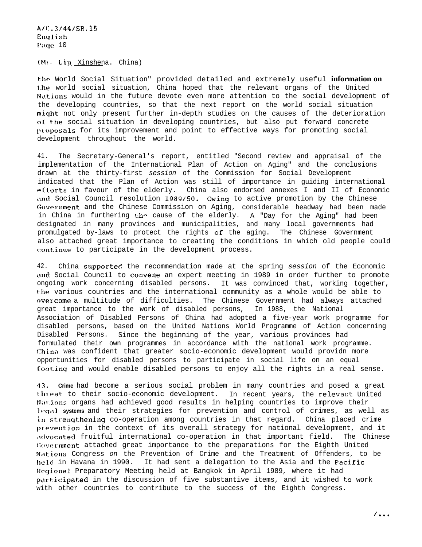A/(:.3/44/SR.15 English Paqo 10

 $(M:$  Lin. Xinshena. China)

tlic World Social Situation" provided detailed and extremely useful **information on** t.he world social situation, China hoped that the relevant organs of the United Nations would in the future devote even more attention to the social development of the developing countries, so that the next report on the world social situation miqht not only present further in-depth studies on the causes of the deterioration oL the social situation in developing countries, but also put forward concrete proposals for its improvement and point to effective ways for promoting social development throughout the world.

41. The Secretary-General's report, entitled "Second review and appraisal of the implementation of the International Plan of Action on Aging" and the conclusions drawn at the thirty-first *session* of the Commission for Social Development indicated that the Plan of Action was still of importance in guiding international efforts in favour of the elderly. China also endorsed annexes I and II of Economic and Social Council resolution 1989/50. Owing to active promotion by the Chinese Government and the Chinese Commission on Aging, considerable headway had been made in China in furthering  $\thickspace$  th $\thickspace$  cause of the elderly. A "Day for the Aging" had been designated in many provinces and municipalities, and many local governments had promulgated by-laws to protect the rights oE the aging. The Chinese Government also attached great importance to creating the conditions in which old people could continue to participate in the development process.

42. China supportec: the recommendation made at the spring *session* of the Economic and Social Council to convene an expert meeting in 1989 in order further to promote ongoing work concerning disabled persons. It was convinced that, working together, the various countries and the international community as a whole would be able to **rwercome** a multitude of difficulties. The Chinese Government had always attached great importance to the work of disabled persons, In 1988, the National Association of Disabled Persons of China had adopted a five-year work programme for disabled persons, based on the United Nations World Programme of Action concerning Disabled Persons. Since the beginning of the year, various provinces had formulated their own programmes in accordance with the national work programme. (Thina was confident that greater socio-economic development would providn more opportunities for disabled persons to participate in social life on an equal Cooting and would enable disabled persons to enjoy all the rights in a real sense.

4 <sup>3</sup> - **Crime** had become a serious social problem in many countries and posed a great threat to their socio-economic development. In recent years, the relevant United Nations organs had achieved good results in helping countries to improve their legal systems and their strategies for prevention and control of crimes, as well as in strengthening co-operation among countries in that regard. China placed crime prevention in the context of its overall strategy for national development, and it ,~clvocated fruitful international co-operation in that important field. The Chinese Government attached great importance to the preparations for the Eighth United Nations Congress on the Prevention of Crime and the Treatment of Offenders, to be held in Havana in 1990. It had sent a delegation to the Asia and the Facific Hcqional Preparatory Meeting held at Bangkok in April 1989, where it had participated in the discussion of five substantive items, and it wished to work with other countries to contribute to the success of the Eighth Congress.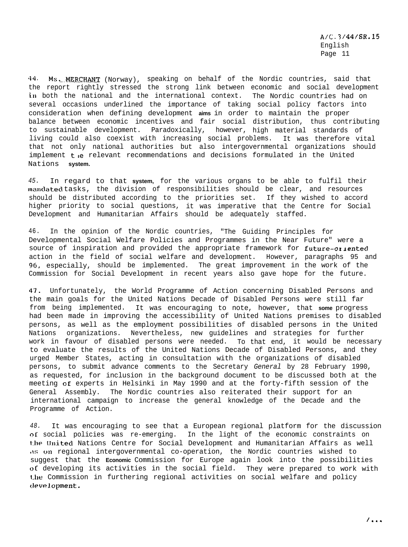44. Ms. MERCHANT (Norway), speaking on behalf of the Nordic countries, said that the report rightly stressed the strong link between economic and social development in both the national and the international context. The Nordic countries had on several occasions underlined the importance of taking social policy factors into consideration when defining development **aims** in order to maintain the proper balance between economic incentives and fair social distribution, thus contributing to sustainable development. Paradoxically, however, high material standards of living could also coexist with increasing social problems. It was therefore vital that not only national authorities but also intergovernmental organizations should implement the relevant recommendations and decisions formulated in the United Nations **system.**

*45.* In regard to that **system,** for the various organs to be able to fulfil their **marxlatecl** tasks, the division of responsibilities should be clear, and resources should be distributed according to the priorities set. If they wished to accord higher priority to social questions, it was imperative that the Centre for Social Development and Humanitarian Affairs should be adequately staffed.

46. In the opinion of the Nordic countries, "The Guiding Principles for Developmental Social Welfare Policies and Programmes in the Near Future" were a source of inspiration and provided the appropriate framework for future-oriented action in the field of social welfare and development. However, paragraphs 95 and 96, especially, should be implemented. The great improvement in the work of the Commission for Social Development in recent years also gave hope for the future.

41. Unfortunately, the World Programme of Action concerning Disabled Persons and the main goals for the United Nations Decade of Disabled Persons were still far from being implemented. It was encouraging to note, however, that **some** progress had been made in improving the accessibility of United Nations premises to disabled persons, as well as the employment possibilities of disabled persons in the United Nations organizations. Nevertheless, new guidelines and strategies for further work in favour of disabled persons were needed. To that end, it would be necessary to evaluate the results of the United Nations Decade of Disabled Persons, and they urged Member States, acting in consultation with the organizations of disabled persons, to submit advance comments to the Secretary *General* by 28 February 1990, as requested, for inclusion in the background document to be discussed both at the meeting GE experts in Helsinki in May 1990 and at the forty-fifth session of the General Assembly. The Nordic countries also reiterated their support for an international campaign to increase the general knowledge of the Decade and the Programme of Action.

*48.* It was encouraging to see that a European regional platform for the discussion of social policies was re-emerging. In the light of the economic constraints on the United Nations Centre for Social Development and Humanitarian Affairs as well A: on regional intergovernmental co-operation, the Nordic countries wished to suggest that the **Economic** Commission for Europe again look into the possibilities of developing its activities in the social field. They were prepared to work with Lhe Commission in furthering regional activities on social welfare and policy clevelopment.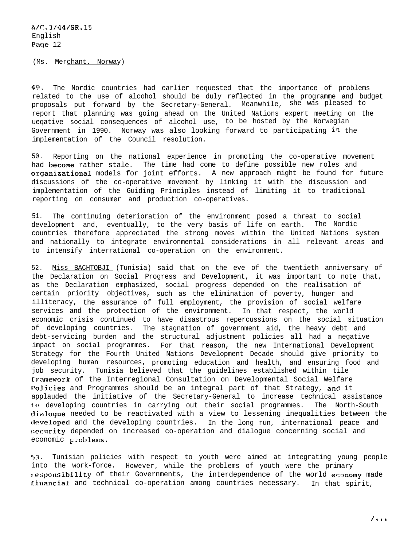(Ms. Merchant. Norway)

40. The Nordic countries had earlier requested that the importance of problems related to the use of alcohol should be duly reflected in the programme and budget proposals put forward by the Secretary-General. Meanwhile, she was pleased to report that planning was going ahead on the United Nations expert meeting on the ueqative social consequences of alcohol use, to be hosted by the Norwegian Government in 1990. Norway was also looking forward to participating  $i<sup>n</sup>$  the implementation of the Council resolution.

50. Reporting on the national experience in promoting the co-operative movement had become rather stale. The time had come to define possible new roles and organizational models for joint efforts. A new approach might be found for future discussions of the co-operative movement by linking it with the discussion and implementation of the Guiding Principles instead of limiting it to traditional reporting on consumer and production co-operatives.

51. The continuing deterioration of the environment posed a threat to social development and, eventually, to the very basis of life on earth. The Nordic countries therefore appreciated the strong moves within the United Nations system and nationally to integrate environmental considerations in all relevant areas and to intensify interrational co-operation on the environment.

52. Miss BACHTOBJI (Tunisia) said that on the eve of the twentieth anniversary of the Declaration on Social Progress and Development, it was important to note that, as the Declaration emphasized, social progress depended on the realisation of certain priority objectives, such as the elimination of poverty, hunger and illiteracy, the assurance of full employment, the provision of social welfare services and the protection of the environment. In that respect, the world economic crisis continued to have disastrous repercussions on the social situation of developing countries. The stagnation of government aid, the heavy debt and debt-servicing burden and the structural adjustment policies all had a negative impact on social programmes. For that reason, the new International Development Strategy for the Fourth United Nations Development Decade should give priority to developing human resources, promoting education and health, and ensuring food and job security. Tunisia believed that the guidelines established within tile **framework** of the Interregional Consultation on Developmental Social Welfare Policies and Programmes should be an integral part of that Strategy, and it applauded the initiative of the Secretary-General to increase technical assistance Io developing countries in carrying out their social programmes. The North-South dialoyue needed to be reactivated with a view to lessening inequalities between the developed and the developing countries. In the long run, international peace and security depended on increased co-operation and dialogue concerning social and economic problems.

**53 .** Tunisian policies with respect to youth were aimed at integrating young people into the work-force. However, while the problems of youth were the primary re:;ponsibility of their Governments, the interdependence of the world economy made Iinancial and technical co-operation among countries necessary. In that spirit,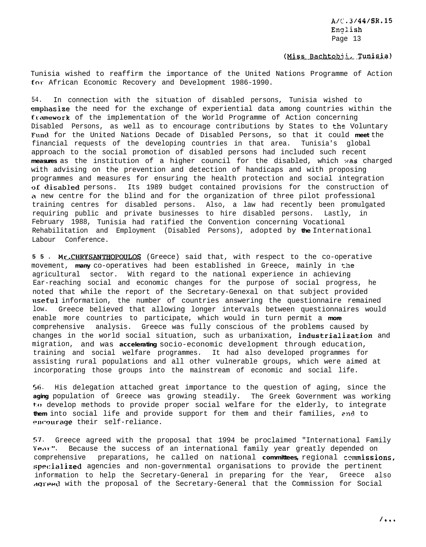### (Miss Bachtobii, Tunisia)

Tunisia wished to reaffirm the importance of the United Nations Programme of Action for. African Economic Recovery and Development 1986-1990.

54. In connection with the situation of disabled persons, Tunisia wished to emphasize the need for the exchange of experiential data among countries within the framework of the implementation of the World Programme of Action concerning Disabled Persons, as well as to encourage contributions by States to the Voluntary Fund for the United Nations Decade of Disabled Persons, so that it could **meet** the financial requests of the developing countries in that area. Tunisia's global approach to the social promotion of disabled persons had included such recent measures as the institution of a higher council for the disabled, which was charged with advising on the prevention and detection of handicaps and with proposing programmes and measures for ensuring the health protection and social integration of disabled persons. Its 1989 budget contained provisions for the construction of a new centre for the blind and for the organization of three pilot professional training centres for disabled persons. Also, a law had recently been promulgated requiring public and private businesses to hire disabled persons. Lastly, in February 1988, Tunisia had ratified the Convention concerning Vocational Rehabilitation and Employment (Disabled Persons), adopted by **the** International Labour Conference.

**55. Mr. CHRYSANTHOPOULOS** (Greece) said that, with respect to the co-operative movement, **many** co-operatives had been established in Greece, mainly in the agricultural sector. With regard to the national experience in achieving Ear-reaching social and economic changes for the purpose of social progress, he noted that while the report of the Secretary-Genexal on that subject provided useful information, the number of countries answering the questionnaire remained low. Greece believed that allowing longer intervals between questionnaires would enable more countries to participate, which would in turn permit a **more** comprehensive analysis. Greece was fully conscious of the problems caused by changes in the world social situation, such as urbanixation, *industrialization* and migration, and was **accelerating** socio-economic development through education, training and social welfare programmes. It had also developed programmes for assisting rural populations and all other vulnerable groups, which were aimed at incorporating those groups into the mainstream of economic and social life.

56. His delegation attached great importance to the question of aging, since the **aging** population of Greece was growing steadily. The Greek Government was working to develop methods to provide proper social welfare for the elderly, to integrate **them** into social life and provide support for them and their families, rnd to **~~ll~'~Jurage** their self-reliance.

 $57$ . Greece agreed with the proposal that 1994 be proclaimed "International Family Year". Because the success of an international family year greatly depended on comprehensive preparations, he called on national **committees**, regional commissions, specialized agencies and non-governmental organisations to provide the pertinent information to help the Secretary-General in preparing for the Year, Greece also Aqreed with the proposal of the Secretary-General that the Commission for Social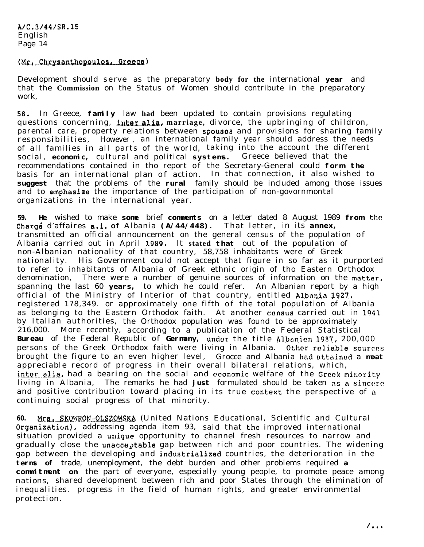### (Mr. Chrysanthopoulos, Greece)

Development should serve as the preparatory **body for the** international **year** and that the **Commission** on the Status of Women should contribute in the preparatory work,

**56.** In Greece, **family** law **had** been updated to contain provisions regulating questions concerning, *inter alia*, marriage, divorce, the upbringing of childron, parental care, property relations between spouses and provisions for sharing family responsibilities, However , an international family year should address the needs of all families in all parts of the world, taking into the account the different social, **economic,** cultural and political **systems.** Greece believed that the recommendations contained in tho report of the Secretary-General could **form the** basis for an international plan of action. In that connection, it also wished to **suggest** that the problems of the **rural** family should be included among those issues and to emphasize the importance of the participation of non-govornmontal organizations in the international year.

59. He wished to make some brief comments on a letter dated 8 August 1989 from the Chargé d'affaires **a.i.** of Albania (A/44/448). That letter, in its annex, transmitted an official announcement on the general census of the population of Albania carried out in April 1989. It **stated that** out **of** the population of non-Albanian nationality of that country, 58,758 inhabitants were of Greek nationality. His Government could not accept that figure in so far as it purported to refer to inhabitants of Albania of Greek ethnic origin of tho Eastern Orthodox denomination, There were **a** number of genuine sources of information on the mattar, spanning the last 60 **years,** to which he could refer. An Albanian report by a high official of the Ministry of Interior of that country, entitled Albania J927., registered 178,349. or approximately one fifth of the total population of Albania as belonging to the Eastern Orthodox faith. At another consus carried out in 1941 by Italian authorities, the Orthodox population was found to be approximately 216,000. More recently, according to a publication of the Federal Statistical Bureau of the Federal Republic of Germany, under the title Albanien 1987, 200,000 persons of the Greek Orthodox faith were living in Albania. Other rcliablo **sources** brought the figure to an even higher level, Grocce and Albania hnd attained a **moat** appreciable record of progress in their overall bilateral relations, which, inter alia, had a bearing on the social and economic welfare of the Greek minority living in Albania, The remarks he had **just** formulated should be taken ns <sup>a</sup> sinccro and positive contribution toward placing in its true context the perspective of a continuing social progress of that minority.

60. Mrs. SKOWRON-OLSZOWSKA (United Nations Educational, Scientific and Cultural Organization), addressing agenda item 93, said that the improved international situation provided a unique opportunity to channel fresh resources to narrow and gradually close the unacceptable gap between rich and poor countries. The widening gap between the developing and industrialized countries, the deterioration in the **terms of** trade, unemployment, the debt burden and other problems required **a commitment** on the part of everyone, especially young people, to promote peace among nations, shared development between rich and poor States through the elimination of inequalities. progress in the field of human rights, and greater environmental protection.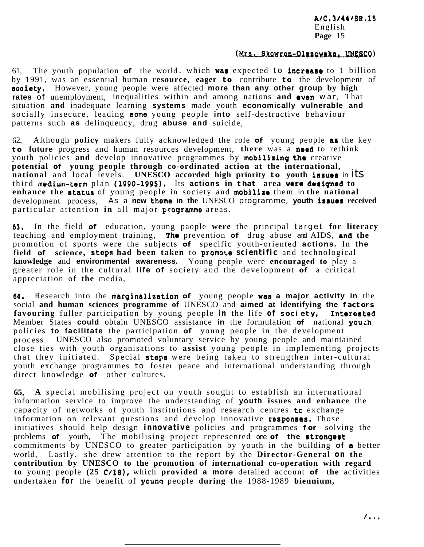### (Mrs. Skowron-Olszowska, UNESCO)

61. The youth population **of** the world, which **was** expected to **increase** to 1 billion by 1991, was an essential human **resource, eager to** contribute **to** the development of aocfety, However, young people were affected **more than any other group by high rates** of unemployment, inequalities within and among nations **and** even war, That situation **and** inadequate learning **systems** made youth **economically vulnerable and** socially insecure, leading some young people **into** self-destructive behaviour patterns such **as** delinquency, drug **abuse and** suicide,

62, Although **policy** makers fully acknowledged the role **of** young people aa the key **to future** progress and human resources development, **there** was a *med* to rethink youth policies **and** develop innovative programmes by mobilising the creative **potential of young people through co-ordinated action at the international, national** and local levels. **UNESCO** accorded high priority **to** youth issues in its third mediun-term plan (1990-1995). Its **actions in that area wet@ dorigned to enhance the** rtatus of young people in society and **mobilizo** them *in* **the national** development process, As **a new thoma in the** UNESCO programme, **youth issues received** particular attention **in** all major ytogramme areas.

63, In the field **of** education, young paople **were** the principal target **for literacy** teaching and employment training, The prevention **of** drug abuse *and* AIDS, **and the** promotion of sports were the subjects **of** specific youth-oriented **actions.** In **the** field of science, steps had been taken to promote *scientific* and technological **knowledge** and **environmental awareness.** Young people were **encouraged to** play a greater role in the cultural **life of** society and the development **of** a critical appreciation of **the** media,

64. Research into the marginalization **of** young people **was a major activity in** the social **and human sciences programme of** UNESCO and **aimed at identifying the factors** favouring fuller participation by young people in the life of society, Interasted Member States **could** obtain UNESCO assistance **in** the formulation **of** national youth policies **to facilitate** the participation **of** young people in the development process. UNESCO also promoted voluntary service by young people and maintained close ties with youth organisations to **assist** young people in implementing projects that they initiated. Special steps were being taken to strengthen inter-cultural youth exchange programmes to foster peace and international understanding through direct knowledge **of** other cultures.

**65, A** special mobilising project on youth sought to establish an international information service to improve the understanding of **youth issues and enhance** the capacity of networks of youth institutions and research centres **tc** exchange information on relevant questions and develop innovative responses. Those initiatives should help design *innovative* policies and programmes **for** solving the problems of youth. The mobilising project represented *one* of the strongest commitments by UNESCO to greater participation by youth in the building **of** e better world, Lastly, she drew attention to the report by the **Director-General** *on* **the contribution by UNESCO to the promotion of international co-operation with regard to** young people **(25 C/18),** which **provided a more** detailed account **of the** activities undertaken **for** the benefit of younq people **during** the 1988-1989 **biennium,**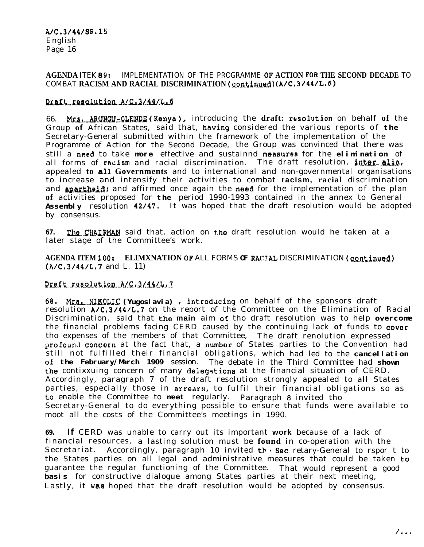## **AGENDA** ITEK 89x IMPLEMENTATION OF THE PROGRAMME **OF ACTION** FOR **THE SECOND DECADE** TO COMBAT **RACISM AND RACIAL DISCRIMINATION** (continued) (A/C,3/44/L.6)

# Draft resolution A/G.3/44/L.6

66. Mrs. ARUNGU-CLENDE (Kenya), introducing the draft: resolution on behalf of the Group **of** African States, said that, *hwing* considered the various reports of **the** Secretary-General submitted within the framework of the implementation of the Programme of Action for the Second Decade, the Group was convinced that there was still a need to take more effective and sustainnd measures for the elimination of all forms of racism and racial discrimination. The draft resolution, inter alia, appealed **to all Governments** and to international and non-governmental organisations to increase and intensify their activities to combat **racism, racial** discrimination and **apartheid**; and affirmed once again the nood for the implementation of the plan **of** activities proposed for **the** period 1990-1993 contained in the annex to General Assembly resolution 42/47. It was hoped that the draft resolution would be adopted by consensus.

67. The CHAIRMAN said that. action on the draft resolution would he taken at a later stage of the Committee's work.

**AGENDA ITEM 100: ELIMXNATION OF ALL FORMS OF RACIAL DISCRIMINATION (continued)** (A/C,3/44/L,7 and L. 11)

## Draft resolution A/C, 3/44/L.7

68. Mrs. NIKQLIC (Yugoslavia) , introducing on behalf of the sponsors draft resolution A/C,3/44/L.7 on the report of the Committee on the Elimination of Racial Discrimination, said that the **main** aim OC tho draft resolution was to help **overcome** the financial problems facing CERD caused by the continuing lack **of** funds to cover tho expenses of the members of that Committee, The draft renolution expressed profound concern at the fact that, a number of States parties to the Convention had still not fulfilled their financial obligations, which had led to the **cancellation of the February/March 1909** session. The debate in the Third Committee had **shown** the contixxuing concern of many delegations at the financial situation of CERD. Accordingly, paragraph 7 of the draft resolution strongly appealed to all States parties, especially those in arrears, to fulfil their financial obligations so as to enable the Committee to **meet** regularly. Paragraph 8 invited tho Secretary-General to do everything possible to ensure that funds were available to moot all the costs of the Committee's meetings in 1990.

**69.** *If* CERD was unable to carry out its important **work** because of a lack of financial resources, a lasting solution must be **found** in co-operation with the Secretariat. Accordingly, paragraph 10 invited  $tr \cdot$  Sec retary-General to rspor t to the States parties on all legal and administrative measures that could be taken to guarantee the regular functioning of the Committee. That would represent a good **basis** for constructive dialogue among States parties at their next meeting, Lastly, it was hoped that the draft resolution would be adopted by consensus.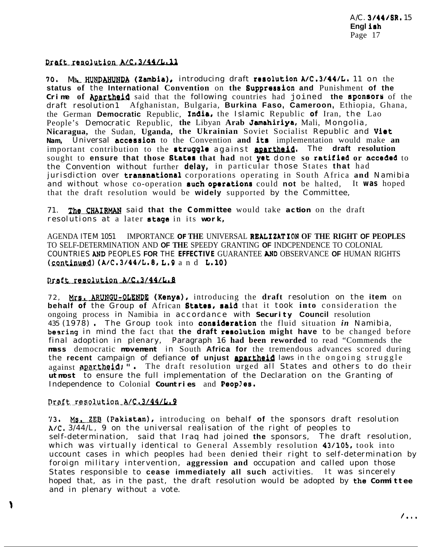## Draft resolution A/C.3/44/L.11

70. Ma. HUNDAHUNDA (Zambia), introducing draft resolution A/C.3/44/L. 11 on the **status of** the **International Convention** on **the** Suppression **and** Punishment **of the Crime of Apartheid** said that the following countries had joined the sponsors of the draft resolution1 Afghanistan, Bulgaria, **Burkina Faso, Cameroon,** Ethiopia, Ghana, the German **Democratic** Republic, **India,** the Islamic Republic of Iran, the Lao People's Democratic Republic, **the** Libyan **Arab Jamahiriya,** Mali, Mongolia, **Nicaragua, the Sudan, Uganda, the Ukrainian Soviet Socialist Republic and Viet Nam,** Universal acceseion to the Convention **and** ita implementation would make **an** People's Democratic Republic, the Libyan Arab Jamahiriya, Mali, Mongolia,<br>Nicaragua, the Sudan, Uganda, the Ukrainian Soviet Socialist Republic and Viet<br>Nam, Universal accession to the Convention and its implementation wou important contribution to the **struggle** against **apartheid.** The **draft resolution**<br>sought to **ensure that those States that had** not **yet** done so **ratified or acceded** to the Convention without further **delay,** in particular those States **that** had jurisdiction over **transnational** corporations operating in South Africa and Namibia and without whose co-operation such operations could not be halted, It was hoped that the draft resolution would be **widely** supported by the Committee,

71. The CHAIRMAN said that the Committee would take action on the draft resolutions at a later stage in its **work,**

AGENDA ITEM 1051 IMPORTANCE **OF THE** UNIVERSAL **REALIZATION OF THE RIGHT OF PEOPLES** TO SELF-DETERMINATION AND **OF THE** SPEEDY GRANTING **OF** INDCPENDENCE TO COLONIAL COUNTRIES AND PEOPLES **FOR** THE **EFFECTIVE** GUARANTEE AND OBSERVANCE **OF** HUMAN RIGHTS  $(c_{\text{continued}})$  (A/C.3/44/L.8, L.9 and L.10)

## Proft resolution A/C.3/44/L.8

72, Mrs. ARUNGU-OLENDE (Kenya), introducing the draft resolution on the item on **behalf of** the Group of African **States, said** that it took into consideration the ongoing process in Namibia in accordance with **Security Council** resolution *<sup>435</sup>*(1978) *<sup>I</sup>* The Group took into conrideration the fluid situation *in* Namibia, besring in mind the fact that **the draft** rerolution **might have** to be changed before final adoption in plenary, Paragraph 16 **had been reworded** to read "Commends the **mass** democratic **movement** in South **Africa for** the tremendous advances scored during the **recent** campaign of defiance **of unjust sparfhei** *laws in* the ongoing struggle against **apartheid**:  $\ddot{a}$ . The draft resolution urged all States and others to do their **utmost** to ensure the full implementation of the Declaration on the Granting of Independence to Colonial **Countries** and Peop!es.

# Draft resolution A/C.3/44/L.9

١

**'13 <sup>I</sup> ML...Z.E.B (Pakistan),** introducing on behalf **of** the sponsors draft resolution *h/C,* 3/44/L, 9 on the universal realisation of the right of peoples to self-determination, said that Iraq had joined **the** sponsors, The draft resolution, which was virtually identical to General Assembly resolution 43/105, took into uccount cases in which peoples had been denied their right to self-determination by foroign military intervention, **aggression and** occupation and called upon those States responsible to **cease immediately all such** activities. It was sincerely hoped that, as in the past, the draft resolution would be adopted by the **Committee** and in plenary without a vote.